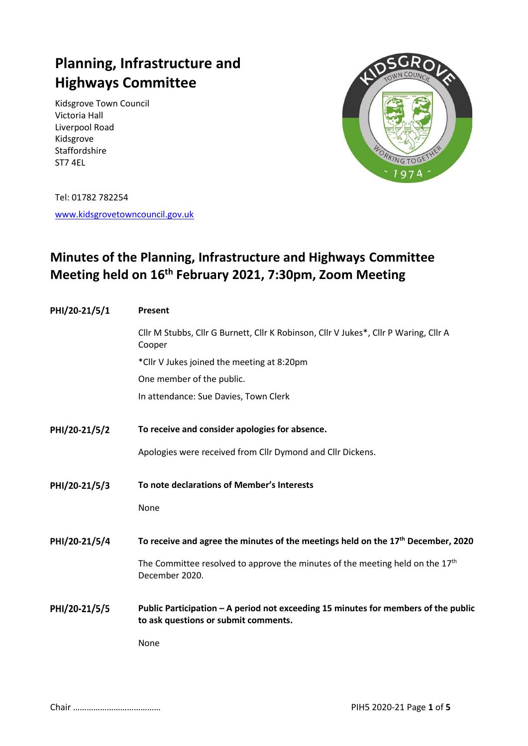# **Planning, Infrastructure and Highways Committee**

Kidsgrove Town Council Victoria Hall Liverpool Road Kidsgrove Staffordshire ST7 4EL



Tel: 01782 782254

[www.kidsgrovetowncouncil.gov.uk](http://www.kidsgrovetowncouncil.gov.uk/)

# **Minutes of the Planning, Infrastructure and Highways Committee Meeting held on 16th February 2021, 7:30pm, Zoom Meeting**

| PHI/20-21/5/1 | Present                                                                                                                    |  |  |
|---------------|----------------------------------------------------------------------------------------------------------------------------|--|--|
|               | Cllr M Stubbs, Cllr G Burnett, Cllr K Robinson, Cllr V Jukes*, Cllr P Waring, Cllr A<br>Cooper                             |  |  |
|               | *Cllr V Jukes joined the meeting at 8:20pm                                                                                 |  |  |
|               | One member of the public.                                                                                                  |  |  |
|               | In attendance: Sue Davies, Town Clerk                                                                                      |  |  |
| PHI/20-21/5/2 | To receive and consider apologies for absence.                                                                             |  |  |
|               | Apologies were received from Cllr Dymond and Cllr Dickens.                                                                 |  |  |
| PHI/20-21/5/3 | To note declarations of Member's Interests                                                                                 |  |  |
|               | None                                                                                                                       |  |  |
| PHI/20-21/5/4 | To receive and agree the minutes of the meetings held on the $17th$ December, 2020                                         |  |  |
|               | The Committee resolved to approve the minutes of the meeting held on the $17th$<br>December 2020.                          |  |  |
| PHI/20-21/5/5 | Public Participation - A period not exceeding 15 minutes for members of the public<br>to ask questions or submit comments. |  |  |
|               | None                                                                                                                       |  |  |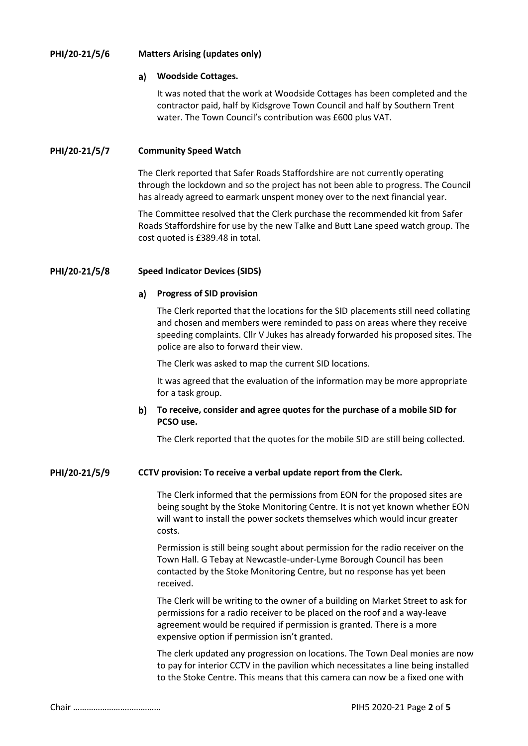#### PHI/20-21/5/6 **Matters Arising (updates only)**

#### a) **Woodside Cottages.**

It was noted that the work at Woodside Cottages has been completed and the contractor paid, half by Kidsgrove Town Council and half by Southern Trent water. The Town Council's contribution was £600 plus VAT.

#### PHI/20-21/5/7 **Community Speed Watch**

The Clerk reported that Safer Roads Staffordshire are not currently operating through the lockdown and so the project has not been able to progress. The Council has already agreed to earmark unspent money over to the next financial year.

The Committee resolved that the Clerk purchase the recommended kit from Safer Roads Staffordshire for use by the new Talke and Butt Lane speed watch group. The cost quoted is £389.48 in total.

#### PHI/20-21/5/8 **Speed Indicator Devices (SIDS)**

### **Progress of SID provision**

The Clerk reported that the locations for the SID placements still need collating and chosen and members were reminded to pass on areas where they receive speeding complaints. Cllr V Jukes has already forwarded his proposed sites. The police are also to forward their view.

The Clerk was asked to map the current SID locations.

It was agreed that the evaluation of the information may be more appropriate for a task group.

### **To receive, consider and agree quotes for the purchase of a mobile SID for PCSO use.**

The Clerk reported that the quotes for the mobile SID are still being collected.

#### PHI/20-21/5/9 **CCTV provision: To receive a verbal update report from the Clerk.**

The Clerk informed that the permissions from EON for the proposed sites are being sought by the Stoke Monitoring Centre. It is not yet known whether EON will want to install the power sockets themselves which would incur greater costs.

Permission is still being sought about permission for the radio receiver on the Town Hall. G Tebay at Newcastle-under-Lyme Borough Council has been contacted by the Stoke Monitoring Centre, but no response has yet been received.

The Clerk will be writing to the owner of a building on Market Street to ask for permissions for a radio receiver to be placed on the roof and a way-leave agreement would be required if permission is granted. There is a more expensive option if permission isn't granted.

The clerk updated any progression on locations. The Town Deal monies are now to pay for interior CCTV in the pavilion which necessitates a line being installed to the Stoke Centre. This means that this camera can now be a fixed one with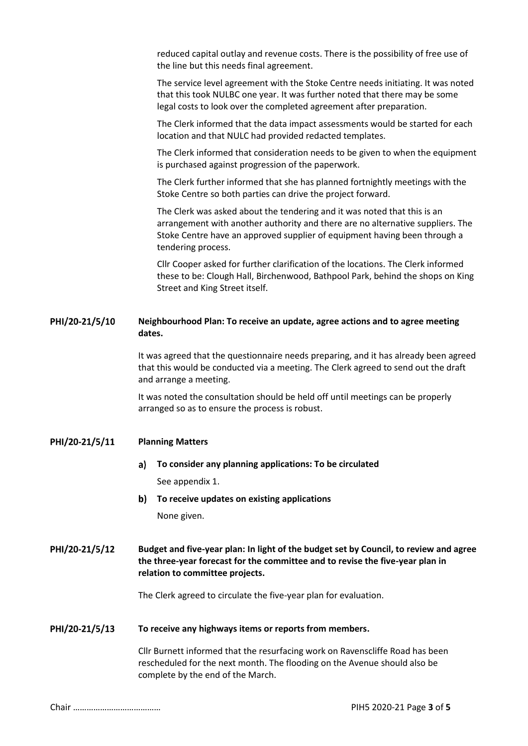reduced capital outlay and revenue costs. There is the possibility of free use of the line but this needs final agreement.

The service level agreement with the Stoke Centre needs initiating. It was noted that this took NULBC one year. It was further noted that there may be some legal costs to look over the completed agreement after preparation.

The Clerk informed that the data impact assessments would be started for each location and that NULC had provided redacted templates.

The Clerk informed that consideration needs to be given to when the equipment is purchased against progression of the paperwork.

The Clerk further informed that she has planned fortnightly meetings with the Stoke Centre so both parties can drive the project forward.

The Clerk was asked about the tendering and it was noted that this is an arrangement with another authority and there are no alternative suppliers. The Stoke Centre have an approved supplier of equipment having been through a tendering process.

Cllr Cooper asked for further clarification of the locations. The Clerk informed these to be: Clough Hall, Birchenwood, Bathpool Park, behind the shops on King Street and King Street itself.

#### PHI/20-21/5/10 **Neighbourhood Plan: To receive an update, agree actions and to agree meeting dates.**

It was agreed that the questionnaire needs preparing, and it has already been agreed that this would be conducted via a meeting. The Clerk agreed to send out the draft and arrange a meeting.

It was noted the consultation should be held off until meetings can be properly arranged so as to ensure the process is robust.

#### PHI/20-21/5/11 **Planning Matters**

## **To consider any planning applications: To be circulated** See appendix 1.

**To receive updates on existing applications** None given.

### PHI/20-21/5/12 **Budget and five-year plan: In light of the budget set by Council, to review and agree the three-year forecast for the committee and to revise the five-year plan in relation to committee projects.**

The Clerk agreed to circulate the five-year plan for evaluation.

#### PHI/20-21/5/13 **To receive any highways items or reports from members.**

Cllr Burnett informed that the resurfacing work on Ravenscliffe Road has been rescheduled for the next month. The flooding on the Avenue should also be complete by the end of the March.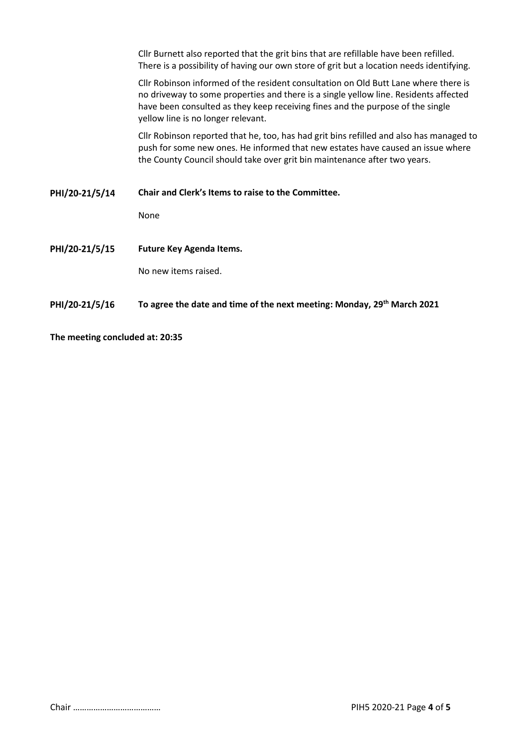|                | Cllr Burnett also reported that the grit bins that are refillable have been refilled.<br>There is a possibility of having our own store of grit but a location needs identifying.                                                                                                                   |  |  |
|----------------|-----------------------------------------------------------------------------------------------------------------------------------------------------------------------------------------------------------------------------------------------------------------------------------------------------|--|--|
|                | Cllr Robinson informed of the resident consultation on Old Butt Lane where there is<br>no driveway to some properties and there is a single yellow line. Residents affected<br>have been consulted as they keep receiving fines and the purpose of the single<br>yellow line is no longer relevant. |  |  |
|                | Cllr Robinson reported that he, too, has had grit bins refilled and also has managed to<br>push for some new ones. He informed that new estates have caused an issue where<br>the County Council should take over grit bin maintenance after two years.                                             |  |  |
| PHI/20-21/5/14 | Chair and Clerk's Items to raise to the Committee.                                                                                                                                                                                                                                                  |  |  |
|                |                                                                                                                                                                                                                                                                                                     |  |  |
|                | None                                                                                                                                                                                                                                                                                                |  |  |
| PHI/20-21/5/15 | <b>Future Key Agenda Items.</b>                                                                                                                                                                                                                                                                     |  |  |
|                | No new items raised.                                                                                                                                                                                                                                                                                |  |  |

**The meeting concluded at: 20:35**